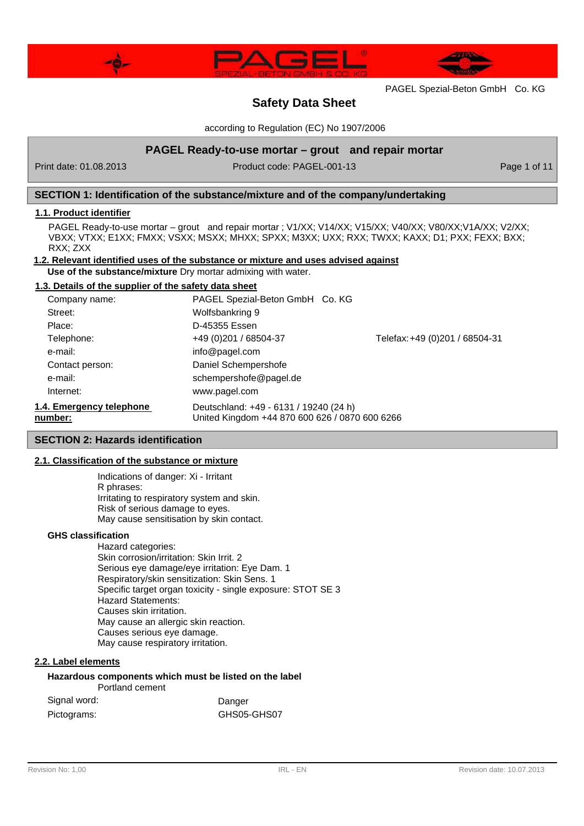



# **Safety Data Sheet**

according to Regulation (EC) No 1907/2006

# **PAGEL Ready-to-use mortar – grout and repair mortar**

Print date: 01.08.2013 Product code: PAGEL-001-13 Product code: PAGEL-001-13

# **SECTION 1: Identification of the substance/mixture and of the company/undertaking**

## **1.1. Product identifier**

PAGEL Ready-to-use mortar – grout and repair mortar ; V1/XX; V14/XX; V15/XX; V40/XX; V80/XX; V1A/XX; V2/XX; VBXX; VTXX; E1XX; FMXX; VSXX; MSXX; MHXX; SPXX; M3XX; UXX; RXX; TWXX; KAXX; D1; PXX; FEXX; BXX; RXX; ZXX

### **1.2. Relevant identified uses of the substance or mixture and uses advised against**

**Use of the substance/mixture** Dry mortar admixing with water.

# **1.3. Details of the supplier of the safety data sheet**

| Company name:            | PAGEL Spezial-Beton GmbH Co. KG                |                                |  |
|--------------------------|------------------------------------------------|--------------------------------|--|
| Street:                  | Wolfsbankring 9                                |                                |  |
| Place:                   | D-45355 Essen                                  |                                |  |
| Telephone:               | +49 (0) 201 / 68504-37                         | Telefax: +49 (0)201 / 68504-31 |  |
| e-mail:                  | info@pagel.com                                 |                                |  |
| Contact person:          | Daniel Schempershofe                           |                                |  |
| e-mail:                  | schempershofe@pagel.de                         |                                |  |
| Internet:                | www.pagel.com                                  |                                |  |
| 1.4. Emergency telephone | Deutschland: +49 - 6131 / 19240 (24 h)         |                                |  |
| number:                  | United Kinadom +44 870 600 626 / 0870 600 6266 |                                |  |

# **SECTION 2: Hazards identification**

## **2.1. Classification of the substance or mixture**

Indications of danger: Xi - Irritant R phrases: Irritating to respiratory system and skin. Risk of serious damage to eyes. May cause sensitisation by skin contact.

### **GHS classification**

Hazard categories: Skin corrosion/irritation: Skin Irrit. 2 Serious eye damage/eye irritation: Eye Dam. 1 Respiratory/skin sensitization: Skin Sens. 1 Specific target organ toxicity - single exposure: STOT SE 3 Hazard Statements: Causes skin irritation. May cause an allergic skin reaction. Causes serious eye damage. May cause respiratory irritation.

## **2.2. Label elements**

#### **Hazardous components which must be listed on the label** Portland cement

| Signal word: | Danger      |
|--------------|-------------|
| Pictograms:  | GHS05-GHS07 |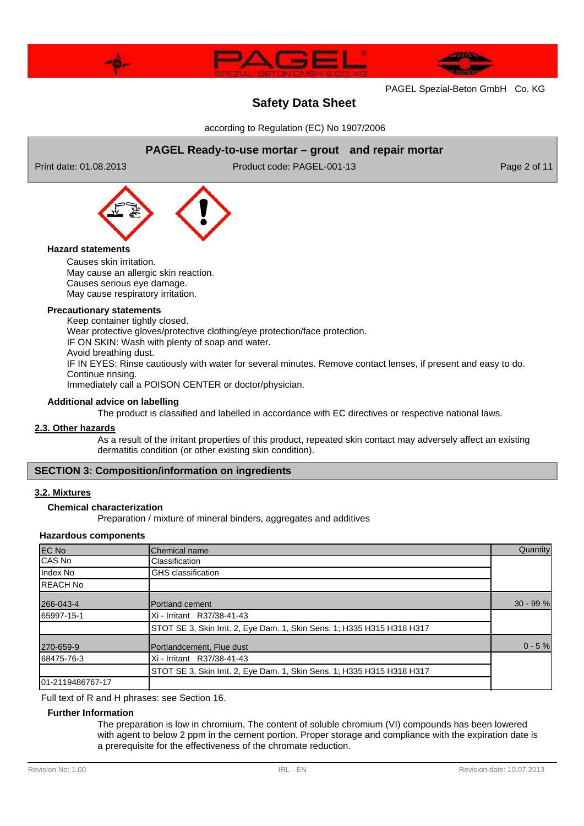

# **Safety Data Sheet**

according to Regulation (EC) No 1907/2006

# **PAGEL Ready-to-use mortar – grout and repair mortar**

Print date: 01.08.2013 Product code: PAGEL-001-13 Product code: PAGEL-001-13



### **Hazard statements**

Causes skin irritation. May cause an allergic skin reaction. Causes serious eye damage. May cause respiratory irritation.

## **Precautionary statements**

Keep container tightly closed. Wear protective gloves/protective clothing/eye protection/face protection. IF ON SKIN: Wash with plenty of soap and water. Avoid breathing dust. IF IN EYES: Rinse cautiously with water for several minutes. Remove contact lenses, if present and easy to do. Continue rinsing. Immediately call a POISON CENTER or doctor/physician.

### **Additional advice on labelling**

The product is classified and labelled in accordance with EC directives or respective national laws.

### **2.3. Other hazards**

As a result of the irritant properties of this product, repeated skin contact may adversely affect an existing dermatitis condition (or other existing skin condition).

## **SECTION 3: Composition/information on ingredients**

## **3.2. Mixtures**

### **Chemical characterization**

Preparation / mixture of mineral binders, aggregates and additives

### **Hazardous components**

| <b>EC No</b>      | Chemical name                                                           | Quantity    |
|-------------------|-------------------------------------------------------------------------|-------------|
| CAS No            | Classification                                                          |             |
| Index No          | <b>GHS</b> classification                                               |             |
| <b>IREACH No</b>  |                                                                         |             |
| 266-043-4         | <b>IPortland cement</b>                                                 | $30 - 99 %$ |
| 65997-15-1        | Xi - Irritant R37/38-41-43                                              |             |
|                   | STOT SE 3, Skin Irrit. 2, Eye Dam. 1, Skin Sens. 1; H335 H315 H318 H317 |             |
| 270-659-9         | Portlandcement, Flue dust                                               | $0 - 5 %$   |
| 68475-76-3        | Xi - Irritant R37/38-41-43                                              |             |
|                   | STOT SE 3, Skin Irrit. 2, Eye Dam. 1, Skin Sens. 1; H335 H315 H318 H317 |             |
| 101-2119486767-17 |                                                                         |             |

Full text of R and H phrases: see Section 16.

### **Further Information**

The preparation is low in chromium. The content of soluble chromium (VI) compounds has been lowered with agent to below 2 ppm in the cement portion. Proper storage and compliance with the expiration date is a prerequisite for the effectiveness of the chromate reduction.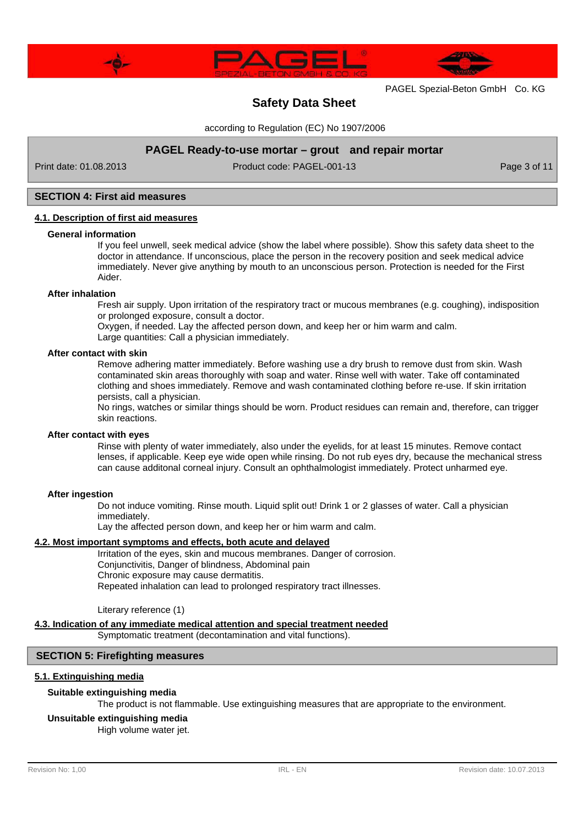



# **Safety Data Sheet**

according to Regulation (EC) No 1907/2006

# **PAGEL Ready-to-use mortar – grout and repair mortar**

Print date: 01.08.2013 Product code: PAGEL-001-13 Product code: PAGEL-001-13

### **SECTION 4: First aid measures**

### **4.1. Description of first aid measures**

### **General information**

If you feel unwell, seek medical advice (show the label where possible). Show this safety data sheet to the doctor in attendance. If unconscious, place the person in the recovery position and seek medical advice immediately. Never give anything by mouth to an unconscious person. Protection is needed for the First Aider.

#### **After inhalation**

Fresh air supply. Upon irritation of the respiratory tract or mucous membranes (e.g. coughing), indisposition or prolonged exposure, consult a doctor.

Oxygen, if needed. Lay the affected person down, and keep her or him warm and calm.

Large quantities: Call a physician immediately.

### **After contact with skin**

Remove adhering matter immediately. Before washing use a dry brush to remove dust from skin. Wash contaminated skin areas thoroughly with soap and water. Rinse well with water. Take off contaminated clothing and shoes immediately. Remove and wash contaminated clothing before re-use. If skin irritation persists, call a physician.

No rings, watches or similar things should be worn. Product residues can remain and, therefore, can trigger skin reactions.

### **After contact with eyes**

Rinse with plenty of water immediately, also under the eyelids, for at least 15 minutes. Remove contact lenses, if applicable. Keep eye wide open while rinsing. Do not rub eyes dry, because the mechanical stress can cause additonal corneal injury. Consult an ophthalmologist immediately. Protect unharmed eye.

### **After ingestion**

Do not induce vomiting. Rinse mouth. Liquid split out! Drink 1 or 2 glasses of water. Call a physician immediately.

Lay the affected person down, and keep her or him warm and calm.

# **4.2. Most important symptoms and effects, both acute and delayed**

Irritation of the eyes, skin and mucous membranes. Danger of corrosion. Conjunctivitis, Danger of blindness, Abdominal pain Chronic exposure may cause dermatitis. Repeated inhalation can lead to prolonged respiratory tract illnesses.

Literary reference (1)

### **4.3. Indication of any immediate medical attention and special treatment needed**

Symptomatic treatment (decontamination and vital functions).

## **SECTION 5: Firefighting measures**

# **5.1. Extinguishing media**

### **Suitable extinguishing media**

The product is not flammable. Use extinguishing measures that are appropriate to the environment.

# **Unsuitable extinguishing media**

High volume water jet.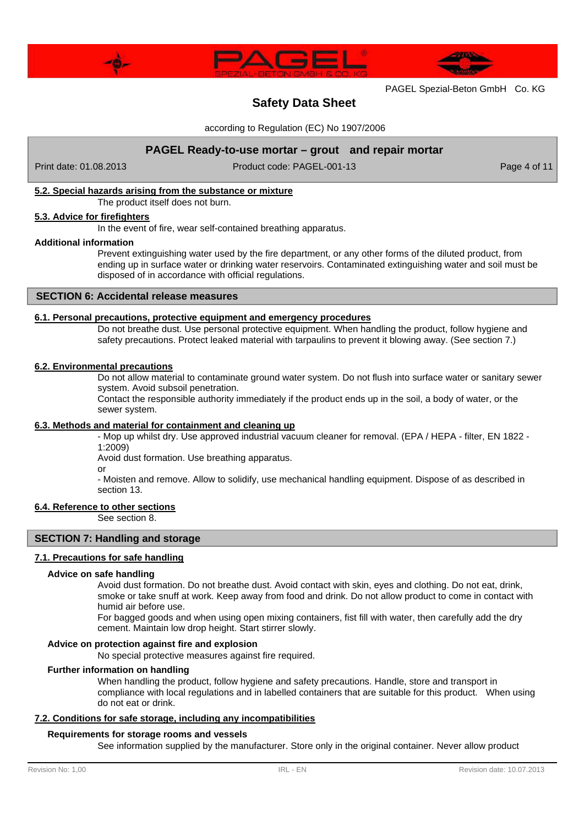



# **Safety Data Sheet**

according to Regulation (EC) No 1907/2006

# **PAGEL Ready-to-use mortar – grout and repair mortar**

Print date: 01.08.2013 Product code: PAGEL-001-13 Page 4 of 11

## **5.2. Special hazards arising from the substance or mixture**

The product itself does not burn.

### **5.3. Advice for firefighters**

In the event of fire, wear self-contained breathing apparatus.

### **Additional information**

Prevent extinguishing water used by the fire department, or any other forms of the diluted product, from ending up in surface water or drinking water reservoirs. Contaminated extinguishing water and soil must be disposed of in accordance with official regulations.

# **SECTION 6: Accidental release measures**

## **6.1. Personal precautions, protective equipment and emergency procedures**

Do not breathe dust. Use personal protective equipment. When handling the product, follow hygiene and safety precautions. Protect leaked material with tarpaulins to prevent it blowing away. (See section 7.)

### **6.2. Environmental precautions**

Do not allow material to contaminate ground water system. Do not flush into surface water or sanitary sewer system. Avoid subsoil penetration.

Contact the responsible authority immediately if the product ends up in the soil, a body of water, or the sewer system.

### **6.3. Methods and material for containment and cleaning up**

- Mop up whilst dry. Use approved industrial vacuum cleaner for removal. (EPA / HEPA - filter, EN 1822 - 1:2009)

Avoid dust formation. Use breathing apparatus.

or

- Moisten and remove. Allow to solidify, use mechanical handling equipment. Dispose of as described in section 13.

### **6.4. Reference to other sections**

See section 8.

## **SECTION 7: Handling and storage**

### **7.1. Precautions for safe handling**

### **Advice on safe handling**

Avoid dust formation. Do not breathe dust. Avoid contact with skin, eyes and clothing. Do not eat, drink, smoke or take snuff at work. Keep away from food and drink. Do not allow product to come in contact with humid air before use.

For bagged goods and when using open mixing containers, fist fill with water, then carefully add the dry cement. Maintain low drop height. Start stirrer slowly.

### **Advice on protection against fire and explosion**

No special protective measures against fire required.

## **Further information on handling**

When handling the product, follow hygiene and safety precautions. Handle, store and transport in compliance with local regulations and in labelled containers that are suitable for this product. When using do not eat or drink.

## **7.2. Conditions for safe storage, including any incompatibilities**

### **Requirements for storage rooms and vessels**

See information supplied by the manufacturer. Store only in the original container. Never allow product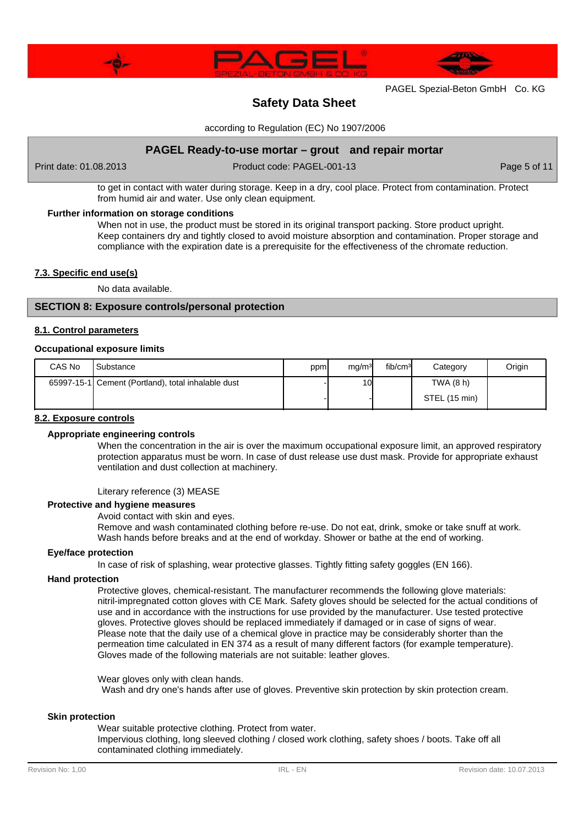



# **Safety Data Sheet**

according to Regulation (EC) No 1907/2006

# **PAGEL Ready-to-use mortar – grout and repair mortar**

Print date: 01.08.2013 Product code: PAGEL-001-13 Page 5 of 11

to get in contact with water during storage. Keep in a dry, cool place. Protect from contamination. Protect from humid air and water. Use only clean equipment.

## **Further information on storage conditions**

When not in use, the product must be stored in its original transport packing. Store product upright. Keep containers dry and tightly closed to avoid moisture absorption and contamination. Proper storage and compliance with the expiration date is a prerequisite for the effectiveness of the chromate reduction.

### **7.3. Specific end use(s)**

No data available.

# **SECTION 8: Exposure controls/personal protection**

### **8.1. Control parameters**

### **Occupational exposure limits**

| CAS No | Substance                                          | ppm | mg/m <sup>3</sup> | fib/cm <sup>3</sup> | Category      | Origin |
|--------|----------------------------------------------------|-----|-------------------|---------------------|---------------|--------|
|        | 65997-15-1 Cement (Portland), total inhalable dust |     | 10I               |                     | TWA (8 h)     |        |
|        |                                                    |     |                   |                     | STEL (15 min) |        |

### **8.2. Exposure controls**

## **Appropriate engineering controls**

When the concentration in the air is over the maximum occupational exposure limit, an approved respiratory protection apparatus must be worn. In case of dust release use dust mask. Provide for appropriate exhaust ventilation and dust collection at machinery.

### Literary reference (3) MEASE

### **Protective and hygiene measures**

Avoid contact with skin and eyes.

Remove and wash contaminated clothing before re-use. Do not eat, drink, smoke or take snuff at work. Wash hands before breaks and at the end of workday. Shower or bathe at the end of working.

### **Eye/face protection**

In case of risk of splashing, wear protective glasses. Tightly fitting safety goggles (EN 166).

### **Hand protection**

Protective gloves, chemical-resistant. The manufacturer recommends the following glove materials: nitril-impregnated cotton gloves with CE Mark. Safety gloves should be selected for the actual conditions of use and in accordance with the instructions for use provided by the manufacturer. Use tested protective gloves. Protective gloves should be replaced immediately if damaged or in case of signs of wear. Please note that the daily use of a chemical glove in practice may be considerably shorter than the permeation time calculated in EN 374 as a result of many different factors (for example temperature). Gloves made of the following materials are not suitable: leather gloves.

Wear gloves only with clean hands. Wash and dry one's hands after use of gloves. Preventive skin protection by skin protection cream.

### **Skin protection**

Wear suitable protective clothing. Protect from water. Impervious clothing, long sleeved clothing / closed work clothing, safety shoes / boots. Take off all contaminated clothing immediately.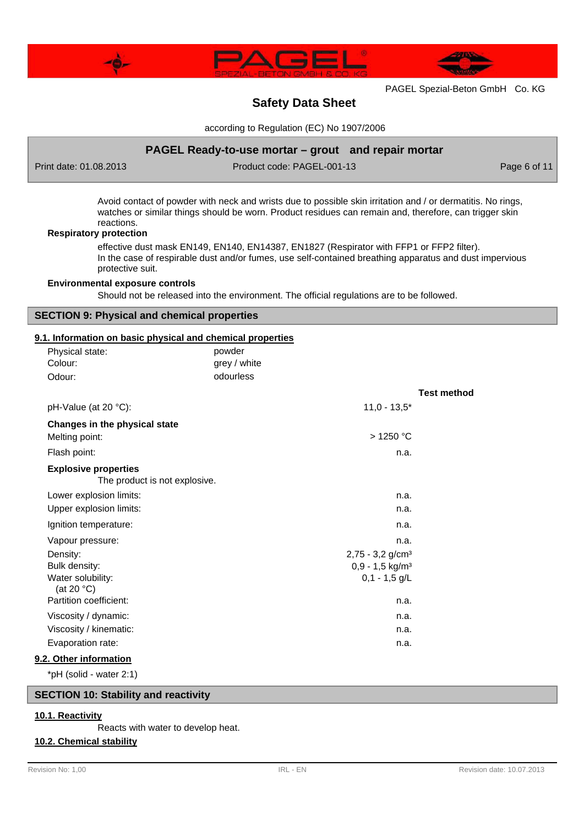



# **Safety Data Sheet**

according to Regulation (EC) No 1907/2006

# **PAGEL Ready-to-use mortar – grout and repair mortar**

Print date: 01.08.2013 Product code: PAGEL-001-13 Product code: PAGEL-001-13

Avoid contact of powder with neck and wrists due to possible skin irritation and / or dermatitis. No rings, watches or similar things should be worn. Product residues can remain and, therefore, can trigger skin reactions.

### **Respiratory protection**

effective dust mask EN149, EN140, EN14387, EN1827 (Respirator with FFP1 or FFP2 filter). In the case of respirable dust and/or fumes, use self-contained breathing apparatus and dust impervious protective suit.

### **Environmental exposure controls**

Should not be released into the environment. The official regulations are to be followed.

# **SECTION 9: Physical and chemical properties**

## **9.1. Information on basic physical and chemical properties**

| Physical state:                                              | powder       |                                |                    |
|--------------------------------------------------------------|--------------|--------------------------------|--------------------|
| Colour:                                                      | grey / white |                                |                    |
| Odour:                                                       | odourless    |                                |                    |
|                                                              |              |                                | <b>Test method</b> |
| pH-Value (at 20 °C):                                         |              | $11,0 - 13,5*$                 |                    |
| Changes in the physical state                                |              |                                |                    |
| Melting point:                                               |              | >1250 °C                       |                    |
| Flash point:                                                 |              | n.a.                           |                    |
| <b>Explosive properties</b><br>The product is not explosive. |              |                                |                    |
| Lower explosion limits:                                      |              | n.a.                           |                    |
| Upper explosion limits:                                      |              | n.a.                           |                    |
| Ignition temperature:                                        |              | n.a.                           |                    |
| Vapour pressure:                                             |              | n.a.                           |                    |
| Density:                                                     |              | $2,75 - 3,2$ g/cm <sup>3</sup> |                    |
| Bulk density:                                                |              | $0,9 - 1,5$ kg/m <sup>3</sup>  |                    |
| Water solubility:<br>(at 20 $°C$ )                           |              | $0,1 - 1,5$ g/L                |                    |
| Partition coefficient:                                       |              | n.a.                           |                    |
| Viscosity / dynamic:                                         |              | n.a.                           |                    |
| Viscosity / kinematic:                                       |              | n.a.                           |                    |
| Evaporation rate:                                            |              | n.a.                           |                    |
| 9.2. Other information                                       |              |                                |                    |

\*pH (solid - water 2:1)

# **SECTION 10: Stability and reactivity**

## **10.1. Reactivity**

Reacts with water to develop heat.

## **10.2. Chemical stability**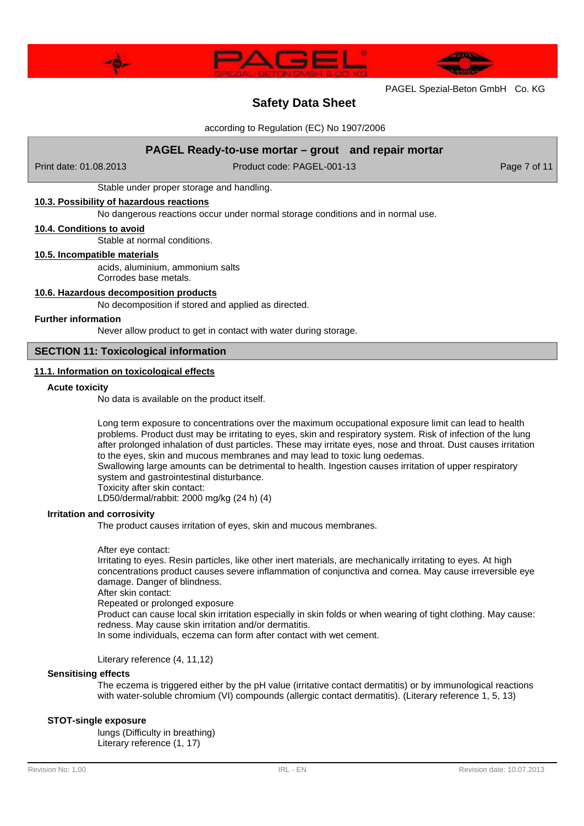

# **Safety Data Sheet**

according to Regulation (EC) No 1907/2006

# **PAGEL Ready-to-use mortar – grout and repair mortar**

Print date: 01.08.2013 Product code: PAGEL-001-13 Page 7 of 11

Stable under proper storage and handling.

# **10.3. Possibility of hazardous reactions**

No dangerous reactions occur under normal storage conditions and in normal use.

### **10.4. Conditions to avoid**

Stable at normal conditions.

## **10.5. Incompatible materials**

acids, aluminium, ammonium salts

Corrodes base metals.

### **10.6. Hazardous decomposition products**

No decomposition if stored and applied as directed.

#### **Further information**

Never allow product to get in contact with water during storage.

## **SECTION 11: Toxicological information**

## **11.1. Information on toxicological effects**

#### **Acute toxicity**

No data is available on the product itself.

Long term exposure to concentrations over the maximum occupational exposure limit can lead to health problems. Product dust may be irritating to eyes, skin and respiratory system. Risk of infection of the lung after prolonged inhalation of dust particles. These may irritate eyes, nose and throat. Dust causes irritation to the eyes, skin and mucous membranes and may lead to toxic lung oedemas. Swallowing large amounts can be detrimental to health. Ingestion causes irritation of upper respiratory system and gastrointestinal disturbance. Toxicity after skin contact:

LD50/dermal/rabbit: 2000 mg/kg (24 h) (4)

### **Irritation and corrosivity**

The product causes irritation of eyes, skin and mucous membranes.

#### After eye contact:

Irritating to eyes. Resin particles, like other inert materials, are mechanically irritating to eyes. At high concentrations product causes severe inflammation of conjunctiva and cornea. May cause irreversible eye damage. Danger of blindness.

After skin contact:

Repeated or prolonged exposure

Product can cause local skin irritation especially in skin folds or when wearing of tight clothing. May cause: redness. May cause skin irritation and/or dermatitis.

In some individuals, eczema can form after contact with wet cement.

Literary reference (4, 11,12)

### **Sensitising effects**

The eczema is triggered either by the pH value (irritative contact dermatitis) or by immunological reactions with water-soluble chromium (VI) compounds (allergic contact dermatitis). (Literary reference 1, 5, 13)

### **STOT-single exposure**

lungs (Difficulty in breathing) Literary reference (1, 17)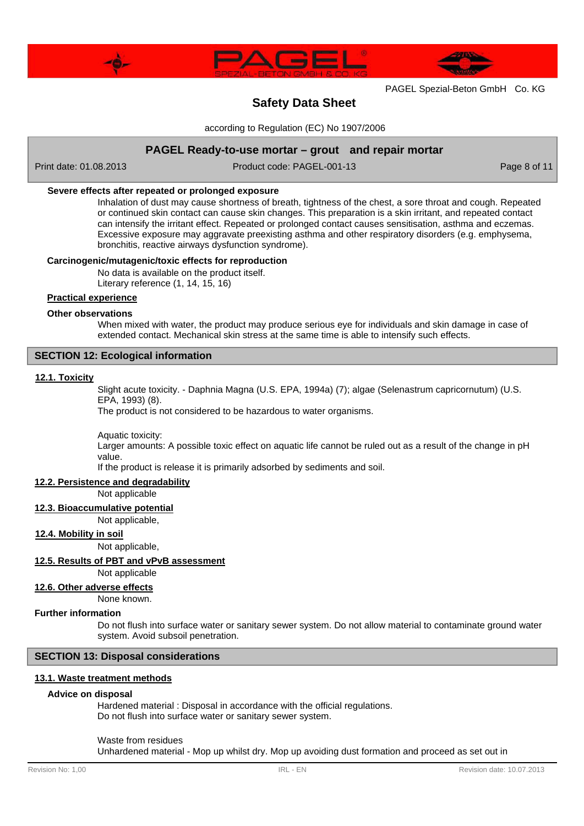



# **Safety Data Sheet**

according to Regulation (EC) No 1907/2006

# **PAGEL Ready-to-use mortar – grout and repair mortar**

Print date: 01.08.2013 Product code: PAGEL-001-13 Page 8 of 11

### **Severe effects after repeated or prolonged exposure**

Inhalation of dust may cause shortness of breath, tightness of the chest, a sore throat and cough. Repeated or continued skin contact can cause skin changes. This preparation is a skin irritant, and repeated contact can intensify the irritant effect. Repeated or prolonged contact causes sensitisation, asthma and eczemas. Excessive exposure may aggravate preexisting asthma and other respiratory disorders (e.g. emphysema, bronchitis, reactive airways dysfunction syndrome).

### **Carcinogenic/mutagenic/toxic effects for reproduction**

No data is available on the product itself.

Literary reference (1, 14, 15, 16)

# **Practical experience**

### **Other observations**

When mixed with water, the product may produce serious eye for individuals and skin damage in case of extended contact. Mechanical skin stress at the same time is able to intensify such effects.

# **SECTION 12: Ecological information**

### **12.1. Toxicity**

Slight acute toxicity. - Daphnia Magna (U.S. EPA, 1994a) (7); algae (Selenastrum capricornutum) (U.S. EPA, 1993) (8).

The product is not considered to be hazardous to water organisms.

Aquatic toxicity:

Larger amounts: A possible toxic effect on aquatic life cannot be ruled out as a result of the change in pH value.

If the product is release it is primarily adsorbed by sediments and soil.

# **12.2. Persistence and degradability**

Not applicable

**12.3. Bioaccumulative potential**

Not applicable,

### **12.4. Mobility in soil**

Not applicable,

### **12.5. Results of PBT and vPvB assessment**

Not applicable

**12.6. Other adverse effects**

None known.

## **Further information**

Do not flush into surface water or sanitary sewer system. Do not allow material to contaminate ground water system. Avoid subsoil penetration.

# **SECTION 13: Disposal considerations**

### **13.1. Waste treatment methods**

### **Advice on disposal**

Hardened material : Disposal in accordance with the official regulations. Do not flush into surface water or sanitary sewer system.

### Waste from residues

Unhardened material - Mop up whilst dry. Mop up avoiding dust formation and proceed as set out in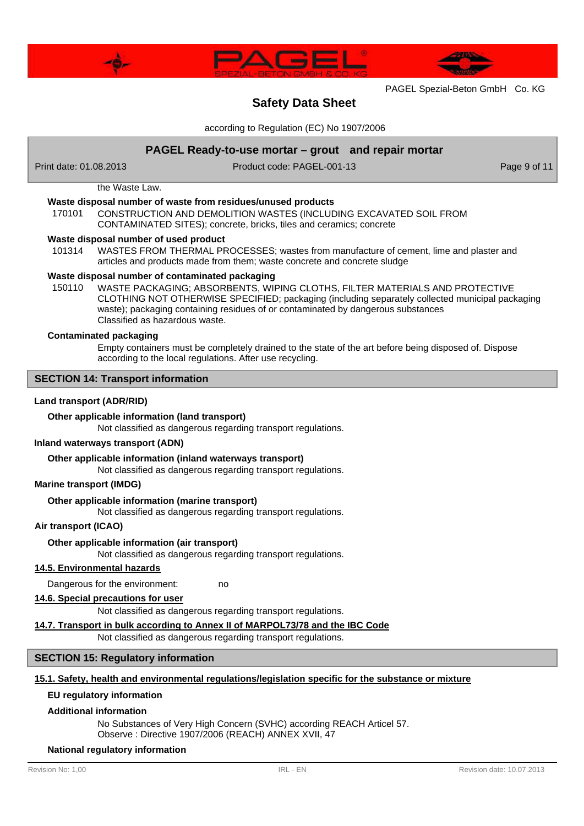



# **Safety Data Sheet**

according to Regulation (EC) No 1907/2006

# **PAGEL Ready-to-use mortar – grout and repair mortar**

Print date: 01.08.2013 Product code: PAGEL-001-13 Page 9 of 11

# the Waste Law.

## **Waste disposal number of waste from residues/unused products**

170101 CONSTRUCTION AND DEMOLITION WASTES (INCLUDING EXCAVATED SOIL FROM CONTAMINATED SITES); concrete, bricks, tiles and ceramics; concrete

### **Waste disposal number of used product**

WASTES FROM THERMAL PROCESSES; wastes from manufacture of cement, lime and plaster and articles and products made from them; waste concrete and concrete sludge 101314

# **Waste disposal number of contaminated packaging**

WASTE PACKAGING; ABSORBENTS, WIPING CLOTHS, FILTER MATERIALS AND PROTECTIVE CLOTHING NOT OTHERWISE SPECIFIED; packaging (including separately collected municipal packaging waste); packaging containing residues of or contaminated by dangerous substances Classified as hazardous waste. 150110

### **Contaminated packaging**

Empty containers must be completely drained to the state of the art before being disposed of. Dispose according to the local regulations. After use recycling.

## **SECTION 14: Transport information**

### **Land transport (ADR/RID)**

# **Other applicable information (land transport)**

Not classified as dangerous regarding transport regulations.

### **Inland waterways transport (ADN)**

### **Other applicable information (inland waterways transport)**

Not classified as dangerous regarding transport regulations.

### **Marine transport (IMDG)**

## **Other applicable information (marine transport)**

Not classified as dangerous regarding transport regulations.

### **Air transport (ICAO)**

### **Other applicable information (air transport)**

Not classified as dangerous regarding transport regulations.

### **14.5. Environmental hazards**

Dangerous for the environment: no

## **14.6. Special precautions for user**

Not classified as dangerous regarding transport regulations.

### **14.7. Transport in bulk according to Annex II of MARPOL73/78 and the IBC Code**

Not classified as dangerous regarding transport regulations.

# **SECTION 15: Regulatory information**

### **15.1. Safety, health and environmental regulations/legislation specific for the substance or mixture**

## **EU regulatory information**

### **Additional information**

No Substances of Very High Concern (SVHC) according REACH Articel 57. Observe : Directive 1907/2006 (REACH) ANNEX XVII, 47

### **National regulatory information**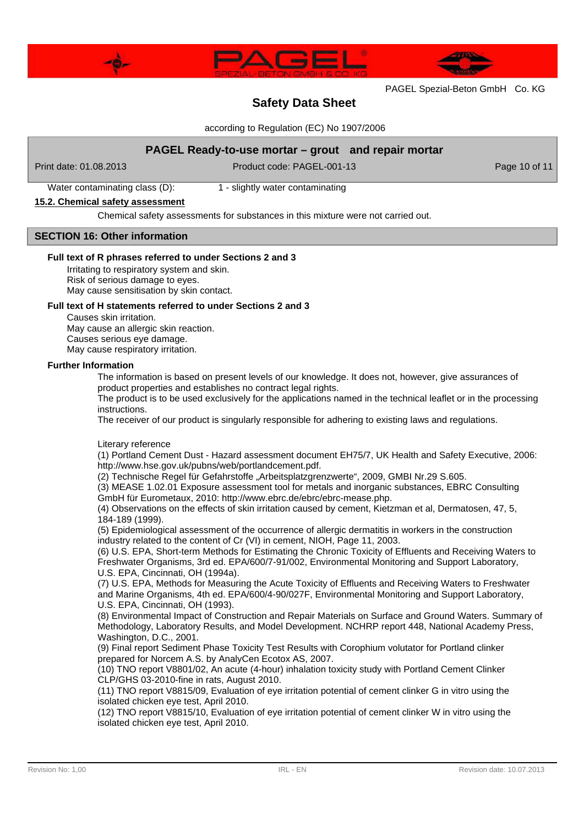



# **Safety Data Sheet**

according to Regulation (EC) No 1907/2006

# **PAGEL Ready-to-use mortar – grout and repair mortar**

Print date: 01.08.2013 Product code: PAGEL-001-13 Product code: PAGEL-001-13

Water contaminating class (D): 1 - slightly water contaminating

## **15.2. Chemical safety assessment**

Chemical safety assessments for substances in this mixture were not carried out.

# **SECTION 16: Other information**

### **Full text of R phrases referred to under Sections 2 and 3**

Irritating to respiratory system and skin. Risk of serious damage to eyes.

May cause sensitisation by skin contact.

# **Full text of H statements referred to under Sections 2 and 3**

Causes skin irritation. May cause an allergic skin reaction.

Causes serious eye damage. May cause respiratory irritation.

# **Further Information**

The information is based on present levels of our knowledge. It does not, however, give assurances of product properties and establishes no contract legal rights.

The product is to be used exclusively for the applications named in the technical leaflet or in the processing instructions.

The receiver of our product is singularly responsible for adhering to existing laws and regulations.

## Literary reference

(1) Portland Cement Dust - Hazard assessment document EH75/7, UK Health and Safety Executive, 2006: http://www.hse.gov.uk/pubns/web/portlandcement.pdf.

(2) Technische Regel für Gefahrstoffe "Arbeitsplatzgrenzwerte", 2009, GMBI Nr.29 S.605.

(3) MEASE 1.02.01 Exposure assessment tool for metals and inorganic substances, EBRC Consulting GmbH für Eurometaux, 2010: http://www.ebrc.de/ebrc/ebrc-mease.php.

(4) Observations on the effects of skin irritation caused by cement, Kietzman et al, Dermatosen, 47, 5, 184-189 (1999).

(5) Epidemiological assessment of the occurrence of allergic dermatitis in workers in the construction industry related to the content of Cr (VI) in cement, NIOH, Page 11, 2003.

(6) U.S. EPA, Short-term Methods for Estimating the Chronic Toxicity of Effluents and Receiving Waters to Freshwater Organisms, 3rd ed. EPA/600/7-91/002, Environmental Monitoring and Support Laboratory, U.S. EPA, Cincinnati, OH (1994a).

(7) U.S. EPA, Methods for Measuring the Acute Toxicity of Effluents and Receiving Waters to Freshwater and Marine Organisms, 4th ed. EPA/600/4-90/027F, Environmental Monitoring and Support Laboratory, U.S. EPA, Cincinnati, OH (1993).

(8) Environmental Impact of Construction and Repair Materials on Surface and Ground Waters. Summary of Methodology, Laboratory Results, and Model Development. NCHRP report 448, National Academy Press, Washington, D.C., 2001.

(9) Final report Sediment Phase Toxicity Test Results with Corophium volutator for Portland clinker prepared for Norcem A.S. by AnalyCen Ecotox AS, 2007.

(10) TNO report V8801/02, An acute (4-hour) inhalation toxicity study with Portland Cement Clinker CLP/GHS 03-2010-fine in rats, August 2010.

(11) TNO report V8815/09, Evaluation of eye irritation potential of cement clinker G in vitro using the isolated chicken eye test, April 2010.

(12) TNO report V8815/10, Evaluation of eye irritation potential of cement clinker W in vitro using the isolated chicken eye test, April 2010.